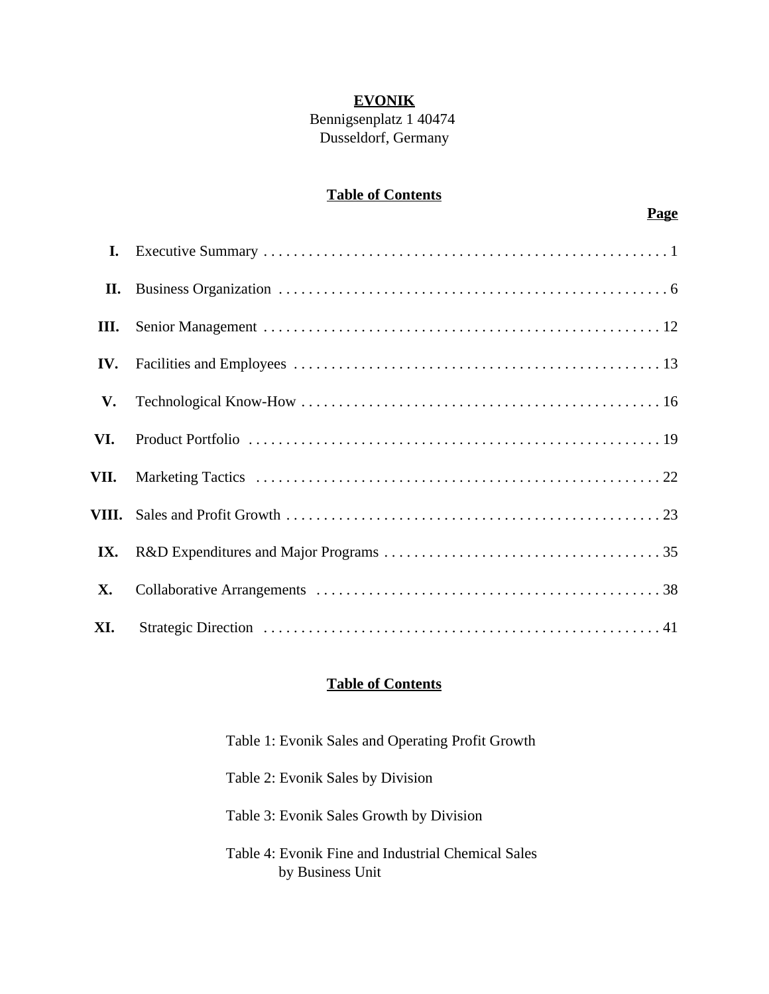## **EVONIK**

## Bennigsenplatz 1 40474 Dusseldorf, Germany

## **Table of Contents**

| $\mathbf{I}$ . |  |
|----------------|--|
| П.             |  |
| III.           |  |
| IV.            |  |
| V.             |  |
| VI.            |  |
| VII.           |  |
|                |  |
| IX.            |  |
| <b>X.</b>      |  |
| XI.            |  |

## **Table of Contents**

| Table 1: Evonik Sales and Operating Profit Growth                      |
|------------------------------------------------------------------------|
| Table 2: Evonik Sales by Division                                      |
| Table 3: Evonik Sales Growth by Division                               |
| Table 4: Evonik Fine and Industrial Chemical Sales<br>by Business Unit |